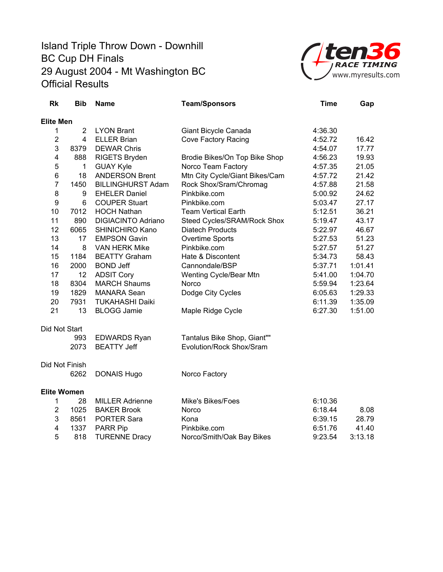

| <b>Rk</b>          | <b>Bib</b>     | Name                      | <b>Team/Sponsors</b>           | <b>Time</b> | Gap     |
|--------------------|----------------|---------------------------|--------------------------------|-------------|---------|
| <b>Elite Men</b>   |                |                           |                                |             |         |
| 1                  | $\overline{2}$ | <b>LYON Brant</b>         | Giant Bicycle Canada           | 4:36.30     |         |
| $\overline{c}$     | 4              | <b>ELLER Brian</b>        | <b>Cove Factory Racing</b>     | 4:52.72     | 16.42   |
| 3                  | 8379           | <b>DEWAR Chris</b>        |                                | 4:54.07     | 17.77   |
| 4                  | 888            | RIGETS Bryden             | Brodie Bikes/On Top Bike Shop  | 4:56.23     | 19.93   |
| 5                  | $\mathbf{1}$   | <b>GUAY Kyle</b>          | Norco Team Factory             | 4:57.35     | 21.05   |
| 6                  | 18             | <b>ANDERSON Brent</b>     | Mtn City Cycle/Giant Bikes/Cam | 4:57.72     | 21.42   |
| $\overline{7}$     | 1450           | <b>BILLINGHURST Adam</b>  | Rock Shox/Sram/Chromag         | 4:57.88     | 21.58   |
| 8                  | 9              | <b>EHELER Daniel</b>      | Pinkbike.com                   | 5:00.92     | 24.62   |
| 9                  | 6              | <b>COUPER Stuart</b>      | Pinkbike.com                   | 5:03.47     | 27.17   |
| 10                 | 7012           | <b>HOCH Nathan</b>        | <b>Team Vertical Earth</b>     | 5:12.51     | 36.21   |
| 11                 | 890            | <b>DIGIACINTO Adriano</b> | Steed Cycles/SRAM/Rock Shox    | 5:19.47     | 43.17   |
| 12                 | 6065           | SHINICHIRO Kano           | <b>Diatech Products</b>        | 5:22.97     | 46.67   |
| 13                 | 17             | <b>EMPSON Gavin</b>       | <b>Overtime Sports</b>         | 5:27.53     | 51.23   |
| 14                 | 8              | <b>VAN HERK Mike</b>      | Pinkbike.com                   | 5:27.57     | 51.27   |
| 15                 | 1184           | <b>BEATTY Graham</b>      | Hate & Discontent              | 5:34.73     | 58.43   |
| 16                 | 2000           | <b>BOND Jeff</b>          | Cannondale/BSP                 | 5:37.71     | 1:01.41 |
| 17                 | 12             | <b>ADSIT Cory</b>         | Wenting Cycle/Bear Mtn         | 5:41.00     | 1:04.70 |
| 18                 | 8304           | <b>MARCH Shaums</b>       | Norco                          | 5:59.94     | 1:23.64 |
| 19                 | 1829           | <b>MANARA Sean</b>        | Dodge City Cycles              | 6:05.63     | 1:29.33 |
| 20                 | 7931           | <b>TUKAHASHI Daiki</b>    |                                | 6:11.39     | 1:35.09 |
| 21                 | 13             | <b>BLOGG Jamie</b>        | Maple Ridge Cycle              | 6:27.30     | 1:51.00 |
| Did Not Start      |                |                           |                                |             |         |
|                    | 993            | <b>EDWARDS Ryan</b>       | Tantalus Bike Shop, Giant""    |             |         |
|                    | 2073           | <b>BEATTY Jeff</b>        | Evolution/Rock Shox/Sram       |             |         |
| Did Not Finish     |                |                           |                                |             |         |
|                    | 6262           | <b>DONAIS Hugo</b>        | Norco Factory                  |             |         |
| <b>Elite Women</b> |                |                           |                                |             |         |
| 1                  | 28             | <b>MILLER Adrienne</b>    | Mike's Bikes/Foes              | 6:10.36     |         |
| $\overline{2}$     | 1025           | <b>BAKER Brook</b>        | Norco                          | 6:18.44     | 8.08    |
| 3                  | 8561           | <b>PORTER Sara</b>        | Kona                           | 6:39.15     | 28.79   |
| 4                  | 1337           | <b>PARR Pip</b>           | Pinkbike.com                   | 6:51.76     | 41.40   |
| 5                  | 818            | <b>TURENNE Dracy</b>      | Norco/Smith/Oak Bay Bikes      | 9:23.54     | 3:13.18 |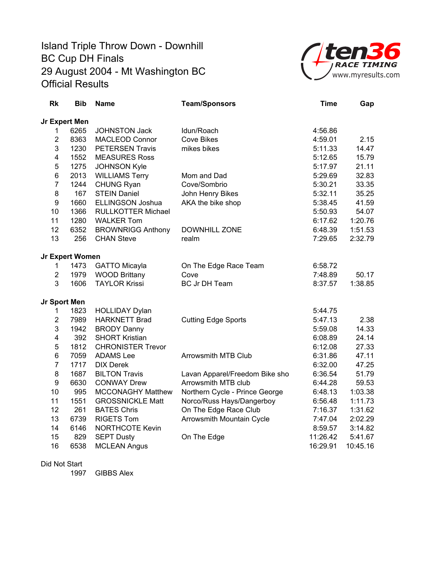

| <b>Rk</b>               | <b>Bib</b>      | <b>Name</b>               | <b>Team/Sponsors</b>           | <b>Time</b> | Gap      |
|-------------------------|-----------------|---------------------------|--------------------------------|-------------|----------|
| Jr Expert Men           |                 |                           |                                |             |          |
| 1                       | 6265            | <b>JOHNSTON Jack</b>      | Idun/Roach                     | 4:56.86     |          |
| $\overline{2}$          | 8363            | <b>MACLEOD Connor</b>     | <b>Cove Bikes</b>              | 4:59.01     | 2.15     |
| 3                       | 1230            | <b>PETERSEN Travis</b>    | mikes bikes                    | 5:11.33     | 14.47    |
| $\overline{\mathbf{4}}$ | 1552            | <b>MEASURES Ross</b>      |                                | 5:12.65     | 15.79    |
| 5                       | 1275            | <b>JOHNSON Kyle</b>       |                                | 5:17.97     | 21.11    |
| 6                       | 2013            | <b>WILLIAMS Terry</b>     | Mom and Dad                    | 5:29.69     | 32.83    |
| $\overline{7}$          | 1244            | <b>CHUNG Ryan</b>         | Cove/Sombrio                   | 5:30.21     | 33.35    |
| 8                       | 167             | <b>STEIN Daniel</b>       | John Henry Bikes               | 5:32.11     | 35.25    |
| 9                       | 1660            | <b>ELLINGSON Joshua</b>   | AKA the bike shop              | 5:38.45     | 41.59    |
| 10                      | 1366            | <b>RULLKOTTER Michael</b> |                                | 5:50.93     | 54.07    |
| 11                      | 1280            | <b>WALKER Tom</b>         |                                | 6:17.62     | 1:20.76  |
| 12                      | 6352            | <b>BROWNRIGG Anthony</b>  | <b>DOWNHILL ZONE</b>           | 6:48.39     | 1:51.53  |
| 13                      | 256             | <b>CHAN Steve</b>         | realm                          | 7:29.65     | 2:32.79  |
|                         | Jr Expert Women |                           |                                |             |          |
| 1                       | 1473            | <b>GATTO Micayla</b>      | On The Edge Race Team          | 6:58.72     |          |
| $\overline{2}$          | 1979            | <b>WOOD Brittany</b>      | Cove                           | 7:48.89     | 50.17    |
| 3                       | 1606            | <b>TAYLOR Krissi</b>      | <b>BC Jr DH Team</b>           | 8:37.57     | 1:38.85  |
| Jr Sport Men            |                 |                           |                                |             |          |
| 1                       | 1823            | <b>HOLLIDAY Dylan</b>     |                                | 5:44.75     |          |
| $\overline{2}$          | 7989            | <b>HARKNETT Brad</b>      | <b>Cutting Edge Sports</b>     | 5:47.13     | 2.38     |
| 3                       | 1942            | <b>BRODY Danny</b>        |                                | 5:59.08     | 14.33    |
| 4                       | 392             | <b>SHORT Kristian</b>     |                                | 6:08.89     | 24.14    |
| 5                       | 1812            | <b>CHRONISTER Trevor</b>  |                                | 6:12.08     | 27.33    |
| 6                       | 7059            | <b>ADAMS</b> Lee          | <b>Arrowsmith MTB Club</b>     | 6:31.86     | 47.11    |
| $\overline{7}$          | 1717            | <b>DIX Derek</b>          |                                | 6:32.00     | 47.25    |
| 8                       | 1687            | <b>BILTON Travis</b>      | Lavan Apparel/Freedom Bike sho | 6:36.54     | 51.79    |
| 9                       | 6630            | <b>CONWAY Drew</b>        | Arrowsmith MTB club            | 6:44.28     | 59.53    |
| 10                      | 995             | <b>MCCONAGHY Matthew</b>  | Northern Cycle - Prince George | 6:48.13     | 1:03.38  |
| 11                      | 1551            | <b>GROSSNICKLE Matt</b>   | Norco/Russ Hays/Dangerboy      | 6:56.48     | 1:11.73  |
| 12                      | 261             | <b>BATES Chris</b>        | On The Edge Race Club          | 7:16.37     | 1:31.62  |
| 13                      | 6739            | <b>RIGETS Tom</b>         | Arrowsmith Mountain Cycle      | 7:47.04     | 2:02.29  |
| 14                      | 6146            | <b>NORTHCOTE Kevin</b>    |                                | 8:59.57     | 3:14.82  |
| 15                      | 829             | <b>SEPT Dusty</b>         | On The Edge                    | 11:26.42    | 5:41.67  |
| 16                      | 6538            | <b>MCLEAN Angus</b>       |                                | 16:29.91    | 10:45.16 |

#### Did Not Start

1997 GIBBS Alex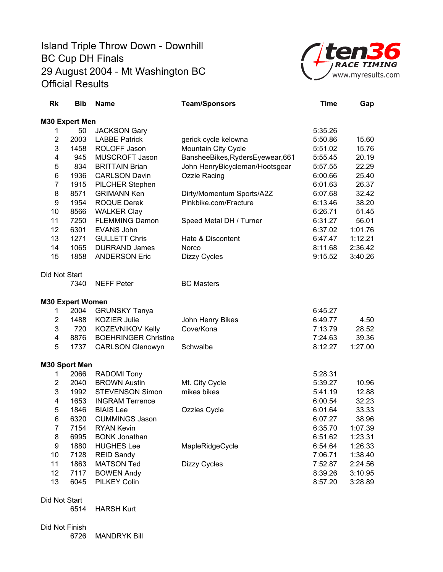

| Rk                      | <b>Bib</b> | <b>Name</b>                 | <b>Team/Sponsors</b>              | <b>Time</b> | Gap     |
|-------------------------|------------|-----------------------------|-----------------------------------|-------------|---------|
| M30 Expert Men          |            |                             |                                   |             |         |
| 1                       | 50         | <b>JACKSON Gary</b>         |                                   | 5:35.26     |         |
| $\overline{2}$          | 2003       | <b>LABBE Patrick</b>        | gerick cycle kelowna              | 5:50.86     | 15.60   |
| 3                       | 1458       | ROLOFF Jason                | Mountain City Cycle               | 5:51.02     | 15.76   |
| 4                       | 945        | MUSCROFT Jason              | BansheeBikes, Ryders Eyewear, 661 | 5:55.45     | 20.19   |
| 5                       | 834        | <b>BRITTAIN Brian</b>       | John HenryBicycleman/Hootsgear    | 5:57.55     | 22.29   |
| 6                       | 1936       | <b>CARLSON Davin</b>        | <b>Ozzie Racing</b>               | 6:00.66     | 25.40   |
| $\overline{7}$          | 1915       | PILCHER Stephen             |                                   | 6:01.63     | 26.37   |
| 8                       | 8571       | <b>GRIMANN Ken</b>          | Dirty/Momentum Sports/A2Z         | 6:07.68     | 32.42   |
| 9                       | 1954       | <b>ROQUE Derek</b>          | Pinkbike.com/Fracture             | 6:13.46     | 38.20   |
| 10                      | 8566       | <b>WALKER Clay</b>          |                                   | 6:26.71     | 51.45   |
| 11                      | 7250       | <b>FLEMMING Damon</b>       | Speed Metal DH / Turner           | 6:31.27     | 56.01   |
| 12                      | 6301       | <b>EVANS John</b>           |                                   | 6:37.02     | 1:01.76 |
| 13                      | 1271       | <b>GULLETT Chris</b>        | Hate & Discontent                 | 6:47.47     | 1:12.21 |
| 14                      | 1065       | <b>DURRAND James</b>        | <b>Norco</b>                      | 8:11.68     | 2:36.42 |
| 15                      | 1858       | <b>ANDERSON Eric</b>        | Dizzy Cycles                      | 9:15.52     | 3:40.26 |
|                         |            |                             |                                   |             |         |
| Did Not Start           |            |                             |                                   |             |         |
|                         | 7340       | <b>NEFF Peter</b>           | <b>BC Masters</b>                 |             |         |
| <b>M30 Expert Women</b> |            |                             |                                   |             |         |
| 1                       | 2004       | <b>GRUNSKY Tanya</b>        |                                   | 6:45.27     |         |
| $\overline{2}$          | 1488       | <b>KOZIER Julie</b>         | John Henry Bikes                  | 6:49.77     | 4.50    |
| 3                       | 720        | KOZEVNIKOV Kelly            | Cove/Kona                         | 7:13.79     | 28.52   |
| 4                       | 8876       | <b>BOEHRINGER Christine</b> |                                   | 7:24.63     | 39.36   |
| 5                       | 1737       | <b>CARLSON Glenowyn</b>     | Schwalbe                          | 8:12.27     | 1:27.00 |
| M30 Sport Men           |            |                             |                                   |             |         |
| 1                       | 2066       | <b>RADOMI</b> Tony          |                                   | 5:28.31     |         |
| $\overline{2}$          | 2040       | <b>BROWN Austin</b>         | Mt. City Cycle                    | 5:39.27     | 10.96   |
| 3                       | 1992       | <b>STEVENSON Simon</b>      | mikes bikes                       | 5:41.19     | 12.88   |
| 4                       | 1653       | <b>INGRAM Terrence</b>      |                                   | 6:00.54     | 32.23   |
| 5                       | 1846       | <b>BIAIS Lee</b>            | Ozzies Cycle                      | 6:01.64     | 33.33   |
| 6                       | 6320       | <b>CUMMINGS Jason</b>       |                                   | 6:07.27     | 38.96   |
| $\overline{7}$          | 7154       | <b>RYAN Kevin</b>           |                                   | 6:35.70     | 1:07.39 |
| 8                       | 6995       | <b>BONK Jonathan</b>        |                                   | 6:51.62     | 1:23.31 |
| 9                       | 1880       | <b>HUGHES Lee</b>           | MapleRidgeCycle                   | 6:54.64     | 1:26.33 |
| 10                      | 7128       | <b>REID Sandy</b>           |                                   | 7:06.71     | 1:38.40 |
| 11                      | 1863       | <b>MATSON Ted</b>           | <b>Dizzy Cycles</b>               | 7:52.87     | 2:24.56 |
| 12                      | 7117       | <b>BOWEN Andy</b>           |                                   | 8:39.26     | 3:10.95 |
| 13                      | 6045       | <b>PILKEY Colin</b>         |                                   | 8:57.20     | 3:28.89 |
|                         |            |                             |                                   |             |         |
| Did Not Start           | 6514       | <b>HARSH Kurt</b>           |                                   |             |         |
|                         |            |                             |                                   |             |         |
| Did Not Finish          |            |                             |                                   |             |         |

6726 MANDRYK Bill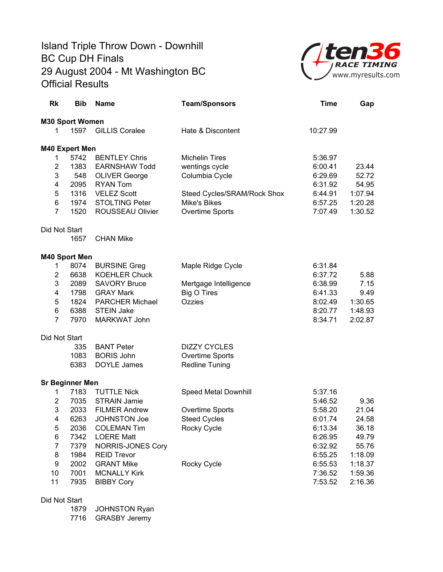

| <b>Rk</b>               | <b>Bib</b>             | <b>Name</b>              | <b>Team/Sponsors</b>        | <b>Time</b> | Gap     |
|-------------------------|------------------------|--------------------------|-----------------------------|-------------|---------|
|                         | M30 Sport Women        |                          |                             |             |         |
| 1                       |                        | 1597 GILLIS Coralee      | Hate & Discontent           | 10:27.99    |         |
|                         | <b>M40 Expert Men</b>  |                          |                             |             |         |
| 1                       | 5742                   | <b>BENTLEY Chris</b>     | <b>Michelin Tires</b>       | 5:36.97     |         |
| $\boldsymbol{2}$        | 1383                   | <b>EARNSHAW Todd</b>     | wentings cycle              | 6:00.41     | 23.44   |
| 3                       | 548                    | <b>OLIVER George</b>     | Columbia Cycle              | 6:29.69     | 52.72   |
| $\overline{\mathbf{4}}$ | 2095                   | <b>RYAN Tom</b>          |                             | 6:31.92     | 54.95   |
| 5                       | 1316                   | <b>VELEZ Scott</b>       | Steed Cycles/SRAM/Rock Shox | 6:44.91     | 1:07.94 |
| 6                       | 1974                   | <b>STOLTING Peter</b>    | Mike's Bikes                | 6:57.25     | 1:20.28 |
| $\overline{7}$          | 1520                   | ROUSSEAU Olivier         | Overtime Sports             | 7:07.49     | 1:30.52 |
| Did Not Start           |                        |                          |                             |             |         |
|                         | 1657                   | <b>CHAN Mike</b>         |                             |             |         |
|                         | M40 Sport Men          |                          |                             |             |         |
| 1                       | 8074                   | <b>BURSINE Greg</b>      | Maple Ridge Cycle           | 6:31.84     |         |
| 2                       | 6638                   | <b>KOEHLER Chuck</b>     |                             | 6:37.72     | 5.88    |
| 3                       | 2089                   | <b>SAVORY Bruce</b>      | Mertgage Intelligence       | 6:38.99     | 7.15    |
| $\overline{\mathbf{4}}$ | 1798                   | <b>GRAY Mark</b>         | <b>Big O Tires</b>          | 6:41.33     | 9.49    |
| 5                       | 1824                   | <b>PARCHER Michael</b>   | Ozzies                      | 8:02.49     | 1:30.65 |
| 6                       | 6388                   | <b>STEIN Jake</b>        |                             | 8:20.77     | 1:48.93 |
| $\overline{7}$          | 7970                   | MARKWAT John             |                             | 8:34.71     | 2:02.87 |
| Did Not Start           |                        |                          |                             |             |         |
|                         | 335                    | <b>BANT Peter</b>        | <b>DIZZY CYCLES</b>         |             |         |
|                         | 1083                   | <b>BORIS John</b>        | Overtime Sports             |             |         |
|                         | 6383                   | DOYLE James              | <b>Redline Tuning</b>       |             |         |
|                         | <b>Sr Beginner Men</b> |                          |                             |             |         |
| 1                       | 7183                   | <b>TUTTLE Nick</b>       | Speed Metal Downhill        | 5:37.16     |         |
| $\overline{\mathbf{c}}$ | 7035                   | <b>STRAIN Jamie</b>      |                             | 5:46.52     | 9.36    |
| 3                       | 2033                   | <b>FILMER Andrew</b>     | Overtime Sports             | 5:58.20     | 21.04   |
| 4                       | 6263                   | <b>JOHNSTON Joe</b>      | <b>Steed Cycles</b>         | 6:01.74     | 24.58   |
| 5                       | 2036                   | <b>COLEMAN Tim</b>       | Rocky Cycle                 | 6:13.34     | 36.18   |
| 6                       | 7342                   | <b>LOERE Matt</b>        |                             | 6:26.95     | 49.79   |
| $\overline{7}$          | 7379                   | <b>NORRIS-JONES Cory</b> |                             | 6:32.92     | 55.76   |
| 8                       | 1984                   | <b>REID Trevor</b>       |                             | 6:55.25     | 1:18.09 |
| 9                       | 2002                   | <b>GRANT Mike</b>        | Rocky Cycle                 | 6:55.53     | 1:18.37 |
| 10                      | 7001                   | <b>MCNALLY Kirk</b>      |                             | 7:36.52     | 1:59.36 |
| 11                      | 7935                   | <b>BIBBY Cory</b>        |                             | 7:53.52     | 2:16.36 |

#### Did Not Start

1879 JOHNSTON Ryan 7716 GRASBY Jeremy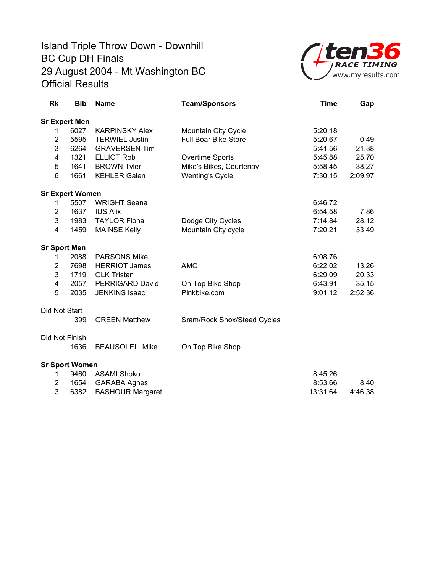

| Rk                  | <b>Bib</b>             | <b>Name</b>             | <b>Team/Sponsors</b>        | <b>Time</b> | Gap     |
|---------------------|------------------------|-------------------------|-----------------------------|-------------|---------|
|                     | <b>Sr Expert Men</b>   |                         |                             |             |         |
| 1                   | 6027                   | <b>KARPINSKY Alex</b>   | Mountain City Cycle         | 5:20.18     |         |
| $\overline{2}$      | 5595                   | <b>TERWIEL Justin</b>   | <b>Full Boar Bike Store</b> | 5:20.67     | 0.49    |
| 3                   | 6264                   | <b>GRAVERSEN Tim</b>    |                             | 5:41.56     | 21.38   |
| 4                   | 1321                   | <b>ELLIOT Rob</b>       | Overtime Sports             | 5:45.88     | 25.70   |
| 5                   | 1641                   | <b>BROWN Tyler</b>      | Mike's Bikes, Courtenay     | 5:58.45     | 38.27   |
| 6                   | 1661                   | <b>KEHLER Galen</b>     | <b>Wenting's Cycle</b>      | 7:30.15     | 2:09.97 |
|                     | <b>Sr Expert Women</b> |                         |                             |             |         |
| 1                   | 5507                   | <b>WRIGHT Seana</b>     |                             | 6:46.72     |         |
| $\overline{2}$      | 1637                   | <b>IUS Alix</b>         |                             | 6:54.58     | 7.86    |
| 3                   | 1983                   | <b>TAYLOR Fiona</b>     | Dodge City Cycles           | 7:14.84     | 28.12   |
| 4                   | 1459                   | <b>MAINSE Kelly</b>     | Mountain City cycle         | 7:20.21     | 33.49   |
| <b>Sr Sport Men</b> |                        |                         |                             |             |         |
| 1                   | 2088                   | <b>PARSONS Mike</b>     |                             | 6:08.76     |         |
| $\overline{2}$      | 7698                   | <b>HERRIOT James</b>    | <b>AMC</b>                  | 6:22.02     | 13.26   |
| 3                   | 1719                   | <b>OLK Tristan</b>      |                             | 6:29.09     | 20.33   |
| 4                   | 2057                   | PERRIGARD David         | On Top Bike Shop            | 6:43.91     | 35.15   |
| 5                   | 2035                   | <b>JENKINS Isaac</b>    | Pinkbike.com                | 9:01.12     | 2:52.36 |
| Did Not Start       |                        |                         |                             |             |         |
|                     | 399                    | <b>GREEN Matthew</b>    | Sram/Rock Shox/Steed Cycles |             |         |
| Did Not Finish      |                        |                         |                             |             |         |
|                     | 1636                   | <b>BEAUSOLEIL Mike</b>  | On Top Bike Shop            |             |         |
|                     | <b>Sr Sport Women</b>  |                         |                             |             |         |
| 1                   | 9460                   | <b>ASAMI Shoko</b>      |                             | 8:45.26     |         |
| $\overline{2}$      | 1654                   | <b>GARABA Agnes</b>     |                             | 8:53.66     | 8.40    |
| 3                   | 6382                   | <b>BASHOUR Margaret</b> |                             | 13:31.64    | 4:46.38 |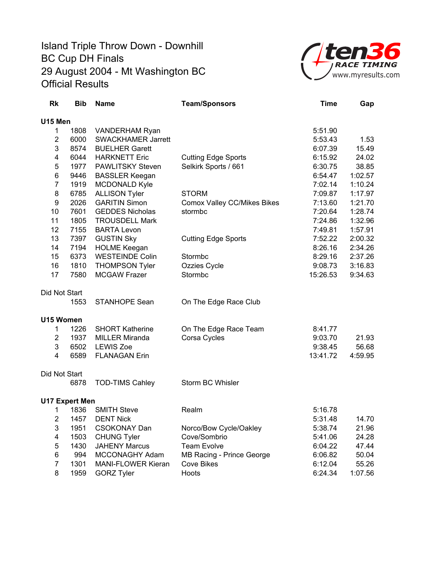

| Rk             | <b>Bib</b>            | <b>Name</b>               | <b>Team/Sponsors</b>        | <b>Time</b> | Gap     |
|----------------|-----------------------|---------------------------|-----------------------------|-------------|---------|
| U15 Men        |                       |                           |                             |             |         |
| 1              | 1808                  | VANDERHAM Ryan            |                             | 5:51.90     |         |
| $\overline{2}$ | 6000                  | <b>SWACKHAMER Jarrett</b> |                             | 5:53.43     | 1.53    |
| 3              | 8574                  | <b>BUELHER Garett</b>     |                             | 6:07.39     | 15.49   |
| 4              | 6044                  | <b>HARKNETT Eric</b>      | <b>Cutting Edge Sports</b>  | 6:15.92     | 24.02   |
| 5              | 1977                  | <b>PAWLITSKY Steven</b>   | Selkirk Sports / 661        | 6:30.75     | 38.85   |
| 6              | 9446                  | <b>BASSLER Keegan</b>     |                             | 6:54.47     | 1:02.57 |
| $\overline{7}$ | 1919                  | MCDONALD Kyle             |                             | 7:02.14     | 1:10.24 |
| 8              | 6785                  | <b>ALLISON Tyler</b>      | <b>STORM</b>                | 7:09.87     | 1:17.97 |
| 9              | 2026                  | <b>GARITIN Simon</b>      | Comox Valley CC/Mikes Bikes | 7:13.60     | 1:21.70 |
| 10             | 7601                  | <b>GEDDES Nicholas</b>    | stormbc                     | 7:20.64     | 1:28.74 |
| 11             | 1805                  | <b>TROUSDELL Mark</b>     |                             | 7:24.86     | 1:32.96 |
| 12             | 7155                  | <b>BARTA Levon</b>        |                             | 7:49.81     | 1:57.91 |
| 13             | 7397                  | <b>GUSTIN Sky</b>         | <b>Cutting Edge Sports</b>  | 7:52.22     | 2:00.32 |
| 14             | 7194                  | <b>HOLME Keegan</b>       |                             | 8:26.16     | 2:34.26 |
| 15             | 6373                  | <b>WESTEINDE Colin</b>    | Stormbc                     | 8:29.16     | 2:37.26 |
| 16             | 1810                  | <b>THOMPSON Tyler</b>     | Ozzies Cycle                | 9:08.73     | 3:16.83 |
| 17             | 7580                  | <b>MCGAW Frazer</b>       | Stormbc                     | 15:26.53    | 9:34.63 |
| Did Not Start  |                       |                           |                             |             |         |
|                | 1553                  | <b>STANHOPE Sean</b>      | On The Edge Race Club       |             |         |
| U15 Women      |                       |                           |                             |             |         |
| $\mathbf 1$    | 1226                  | <b>SHORT Katherine</b>    | On The Edge Race Team       | 8:41.77     |         |
| $\overline{2}$ | 1937                  | <b>MILLER Miranda</b>     | Corsa Cycles                | 9:03.70     | 21.93   |
| 3              | 6502                  | <b>LEWIS Zoe</b>          |                             | 9:38.45     | 56.68   |
| 4              | 6589                  | <b>FLANAGAN Erin</b>      |                             | 13:41.72    | 4:59.95 |
| Did Not Start  |                       |                           |                             |             |         |
|                | 6878                  | <b>TOD-TIMS Cahley</b>    | Storm BC Whisler            |             |         |
|                | <b>U17 Expert Men</b> |                           |                             |             |         |
| 1              | 1836                  | <b>SMITH Steve</b>        | Realm                       | 5:16.78     |         |
| 2              | 1457                  | <b>DENT Nick</b>          |                             | 5:31.48     | 14.70   |
| 3              | 1951                  | <b>CSOKONAY Dan</b>       | Norco/Bow Cycle/Oakley      | 5:38.74     | 21.96   |
| 4              | 1503                  | <b>CHUNG Tyler</b>        | Cove/Sombrio                | 5:41.06     | 24.28   |
| 5              | 1430                  | <b>JAHENY Marcus</b>      | <b>Team Evolve</b>          | 6:04.22     | 47.44   |
| 6              | 994                   | MCCONAGHY Adam            | MB Racing - Prince George   | 6:06.82     | 50.04   |
| $\overline{7}$ | 1301                  | <b>MANI-FLOWER Kieran</b> | <b>Cove Bikes</b>           | 6:12.04     | 55.26   |
| 8              | 1959                  | <b>GORZ Tyler</b>         | Hoots                       | 6:24.34     | 1:07.56 |